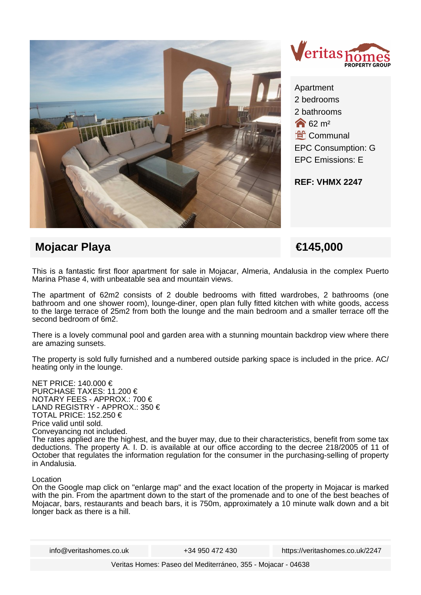



Apartment 2 bedrooms 2 bathrooms  $62 \text{ m}^2$ **L**<br>Communal EPC Consumption: G EPC Emissions: E

**REF: VHMX 2247**

# **Mojacar Playa €145,000**

This is a fantastic first floor apartment for sale in Mojacar, Almeria, Andalusia in the complex Puerto Marina Phase 4, with unbeatable sea and mountain views.

The apartment of 62m2 consists of 2 double bedrooms with fitted wardrobes, 2 bathrooms (one bathroom and one shower room), lounge-diner, open plan fully fitted kitchen with white goods, access to the large terrace of 25m2 from both the lounge and the main bedroom and a smaller terrace off the second bedroom of 6m2.

There is a lovely communal pool and garden area with a stunning mountain backdrop view where there are amazing sunsets.

The property is sold fully furnished and a numbered outside parking space is included in the price. AC/ heating only in the lounge.

NET PRICE: 140.000 € PURCHASE TAXES: 11.200 € NOTARY FEES - APPROX.: 700 € LAND REGISTRY - APPROX.: 350 € TOTAL PRICE: 152.250 € Price valid until sold. Conveyancing not included. The rates applied are the highest, and the buyer may, due to their characteristics, benefit from some tax deductions. The property A. I. D. is available at our office according to the decree 218/2005 of 11 of October that regulates the information regulation for the consumer in the purchasing-selling of property in Andalusia.

### Location

On the Google map click on "enlarge map" and the exact location of the property in Mojacar is marked with the pin. From the apartment down to the start of the promenade and to one of the best beaches of Mojacar, bars, restaurants and beach bars, it is 750m, approximately a 10 minute walk down and a bit longer back as there is a hill.

info@veritashomes.co.uk +34 950 472 430 https://veritashomes.co.uk/2247

Veritas Homes: Paseo del Mediterráneo, 355 - Mojacar - 04638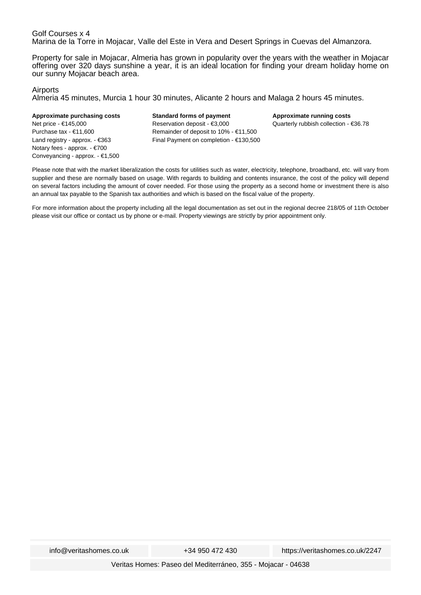#### Golf Courses x 4 Marina de la Torre in Mojacar, Valle del Este in Vera and Desert Springs in Cuevas del Almanzora.

Property for sale in Mojacar, Almeria has grown in popularity over the years with the weather in Mojacar offering over 320 days sunshine a year, it is an ideal location for finding your dream holiday home on our sunny Mojacar beach area.

#### Airports

Almeria 45 minutes, Murcia 1 hour 30 minutes, Alicante 2 hours and Malaga 2 hours 45 minutes.

#### **Approximate purchasing costs** Net price - €145,000 Purchase tax - €11,600 Land registry - approx. - €363

Notary fees - approx. - €700 Conveyancing - approx. - €1,500 **Standard forms of payment** Reservation deposit - €3,000 Remainder of deposit to 10% - €11,500 Final Payment on completion - €130,500 **Approximate running costs** Quarterly rubbish collection - €36.78

Please note that with the market liberalization the costs for utilities such as water, electricity, telephone, broadband, etc. will vary from supplier and these are normally based on usage. With regards to building and contents insurance, the cost of the policy will depend on several factors including the amount of cover needed. For those using the property as a second home or investment there is also an annual tax payable to the Spanish tax authorities and which is based on the fiscal value of the property.

For more information about the property including all the legal documentation as set out in the regional decree 218/05 of 11th October please visit our office or contact us by phone or e-mail. Property viewings are strictly by prior appointment only.